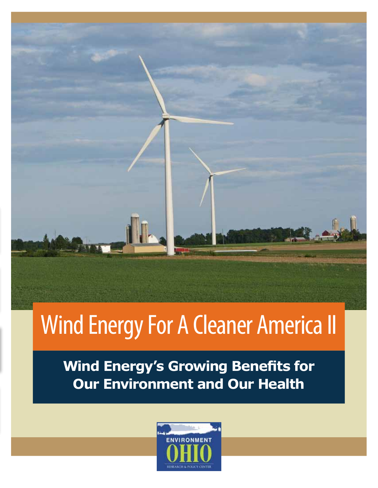# **Wind Energy For A Cleaner America II**

**Wind Energy's Growing Benefits for Our Environment and Our Health** 

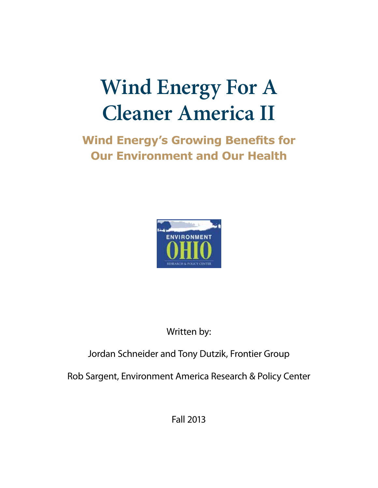## **Wind Energy For A Cleaner America II**

**Wind Energy's Growing Benefits for 2Dur Environment and Our Health** 



Written by:

## Jordan Schneider and Tony Dutzik, Frontier Group

Rob Sargent, Environment America Research & Policy Center

Fall 2013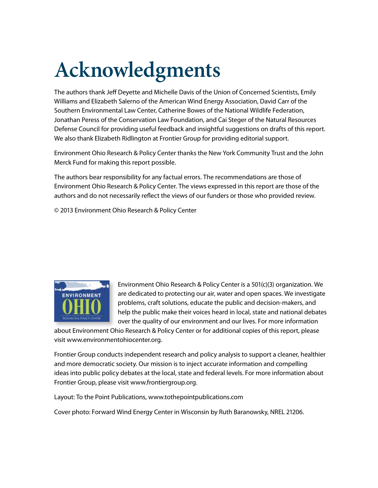## Acknowledgments

The authors thank Jeff Deyette and Michelle Davis of the Union of Concerned Scientists, Emily Williams and Elizabeth Salerno of the American Wind Energy Association, David Carr of the Southern Environmental Law Center, Catherine Bowes of the National Wildlife Federation, Jonathan Peress of the Conservation Law Foundation, and Cai Steger of the Natural Resources Defense Council for providing useful feedback and insightful suggestions on drafts of this report. We also thank Elizabeth Ridlington at Frontier Group for providing editorial support.

Environment Ohio Research & Policy Center thanks the New York Community Trust and the John Merck Fund for making this report possible.

The authors bear responsibility for any factual errors. The recommendations are those of Environment Ohio Research & Policy Center. The views expressed in this report are those of the authors and do not necessarily reflect the views of our funders or those who provided review.

© 2013 Environment Ohio Research & Policy Center



Environment Ohio Research & Policy Center is a 501(c)(3) organization. We are dedicated to protecting our air, water and open spaces. We investigate problems, craft solutions, educate the public and decision-makers, and help the public make their voices heard in local, state and national debates over the quality of our environment and our lives. For more information

about Environment Ohio Research & Policy Center or for additional copies of this report, please visit www.environmentohiocenter.org.

Frontier Group conducts independent research and policy analysis to support a cleaner, healthier and more democratic society. Our mission is to inject accurate information and compelling ideas into public policy debates at the local, state and federal levels. For more information about Frontier Group, please visit www.frontiergroup.org.

Layout: To the Point Publications, www.tothepointpublications.com

Cover photo: Forward Wind Energy Center in Wisconsin by Ruth Baranowsky, NREL 21206.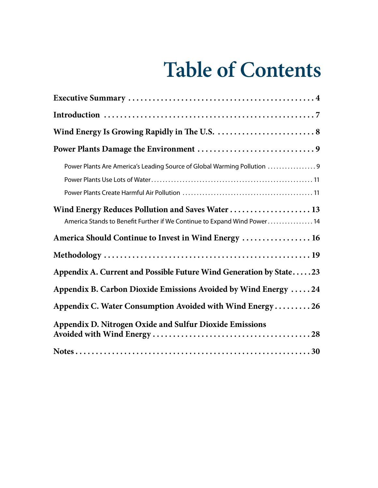## **Table of Contents**

| Power Plants Are America's Leading Source of Global Warming Pollution 9                                                      |
|------------------------------------------------------------------------------------------------------------------------------|
| Wind Energy Reduces Pollution and Saves Water  13<br>America Stands to Benefit Further if We Continue to Expand Wind Power14 |
| America Should Continue to Invest in Wind Energy  16                                                                         |
|                                                                                                                              |
| Appendix A. Current and Possible Future Wind Generation by State23                                                           |
| Appendix B. Carbon Dioxide Emissions Avoided by Wind Energy  24                                                              |
| Appendix C. Water Consumption Avoided with Wind Energy 26                                                                    |
| Appendix D. Nitrogen Oxide and Sulfur Dioxide Emissions                                                                      |
|                                                                                                                              |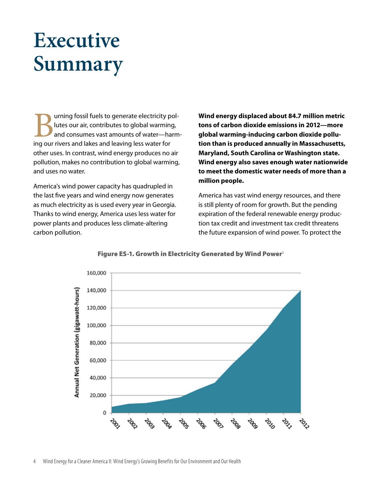## **Executive Summary**

urning fossil fuels to generate electricity pollutes our air, contributes to global warming, and consumes vast amounts of water—harming our rivers and lakes and leaving less water for other uses. In contrast, wind energy produces no air pollution, makes no contribution to global warming, and uses no water.

America's wind power capacity has quadrupled in the last five years and wind energy now generates as much electricity as is used every year in Georgia. Thanks to wind energy, America uses less water for power plants and produces less climate-altering carbon pollution.

**Wind energy displaced about 84.7 million metric tons of carbon dioxide emissions in 2012—more global warming-inducing carbon dioxide pollution than is produced annually in Massachusetts, Maryland, South Carolina or Washington state. Wind energy also saves enough water nationwide to meet the domestic water needs of more than a million people.**

America has vast wind energy resources, and there is still plenty of room for growth. But the pending expiration of the federal renewable energy production tax credit and investment tax credit threatens the future expansion of wind power. To protect the



#### Figure ES-1. Growth in Electricity Generated by Wind Power<sup>1</sup>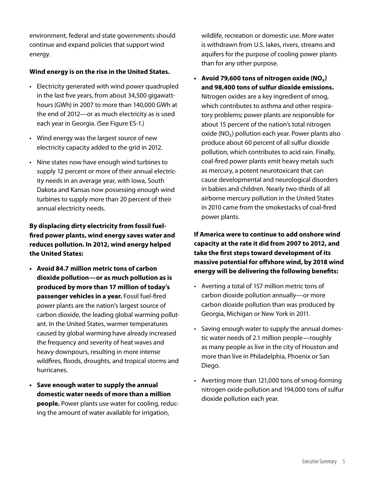environment, federal and state governments should continue and expand policies that support wind energy.

#### **Wind energy is on the rise in the United States.**

- Electricity generated with wind power quadrupled in the last five years, from about 34,500 gigawatthours (GWh) in 2007 to more than 140,000 GWh at the end of 2012—or as much electricity as is used each year in Georgia. (See Figure ES-1.)
- Wind energy was the largest source of new electricity capacity added to the grid in 2012.
- Nine states now have enough wind turbines to supply 12 percent or more of their annual electricity needs in an average year, with Iowa, South Dakota and Kansas now possessing enough wind turbines to supply more than 20 percent of their annual electricity needs.

#### **By displacing dirty electricity from fossil fuel- !red power plants, wind energy saves water and reduces pollution. In 2012, wind energy helped the United States:**

- **t Avoid 84.7 million metric tons of carbon dioxide pollution—or as much pollution as is produced by more than 17 million of today's passenger vehicles in a year.** Fossil fuel-fired power plants are the nation's largest source of carbon dioxide, the leading global warming pollutant. In the United States, warmer temperatures caused by global warming have already increased the frequency and severity of heat waves and heavy downpours, resulting in more intense wildfires, floods, droughts, and tropical storms and hurricanes.
- **t Save enough water to supply the annual domestic water needs of more than a million people.** Power plants use water for cooling, reducing the amount of water available for irrigation,

wildlife, recreation or domestic use. More water is withdrawn from U.S. lakes, rivers, streams and aquifers for the purpose of cooling power plants than for any other purpose.

**•** Avoid 79,600 tons of nitrogen oxide  $(NO_x)$ **and 98,400 tons of sulfur dioxide emissions.** Nitrogen oxides are a key ingredient of smog, which contributes to asthma and other respiratory problems; power plants are responsible for about 15 percent of the nation's total nitrogen oxide ( $NO<sub>x</sub>$ ) pollution each year. Power plants also produce about 60 percent of all sulfur dioxide pollution, which contributes to acid rain. Finally, coal-fired power plants emit heavy metals such as mercury, a potent neurotoxicant that can cause developmental and neurological disorders in babies and children. Nearly two-thirds of all airborne mercury pollution in the United States in 2010 came from the smokestacks of coal-fired power plants.

**If America were to continue to add onshore wind capacity at the rate it did from 2007 to 2012, and take the !rst steps toward development of its massive potential for o"shore wind, by 2018 wind energy will be delivering the following benefits:** 

- Averting a total of 157 million metric tons of carbon dioxide pollution annually—or more carbon dioxide pollution than was produced by Georgia, Michigan or New York in 2011.
- Saving enough water to supply the annual domestic water needs of 2.1 million people—roughly as many people as live in the city of Houston and more than live in Philadelphia, Phoenix or San Diego.
- $\cdot$  Averting more than 121,000 tons of smog-forming nitrogen oxide pollution and 194,000 tons of sulfur dioxide pollution each year.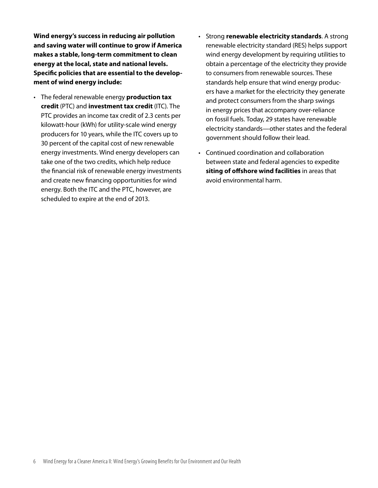**Wind energy's success in reducing air pollution and saving water will continue to grow if America makes a stable, long-term commitment to clean energy at the local, state and national levels. Speci!c policies that are essential to the development of wind energy include:**

- **follogy** The federal renewable energy **production tax credit** (PTC) and **investment tax credit** (ITC). The PTC provides an income tax credit of 2.3 cents per kilowatt-hour (kWh) for utility-scale wind energy producers for 10 years, while the ITC covers up to 30 percent of the capital cost of new renewable energy investments. Wind energy developers can take one of the two credits, which help reduce the financial risk of renewable energy investments and create new financing opportunities for wind energy. Both the ITC and the PTC, however, are scheduled to expire at the end of 2013.
- **Strong renewable electricity standards.** A strong renewable electricity standard (RES) helps support wind energy development by requiring utilities to obtain a percentage of the electricity they provide to consumers from renewable sources. These standards help ensure that wind energy producers have a market for the electricity they generate and protect consumers from the sharp swings in energy prices that accompany over-reliance on fossil fuels. Today, 29 states have renewable electricity standards—other states and the federal government should follow their lead.
- Continued coordination and collaboration between state and federal agencies to expedite **siting of offshore wind facilities** in areas that avoid environmental harm.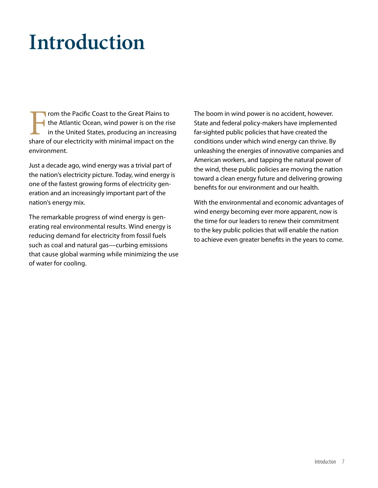## **Introduction**

From the Pacific Coast to the Great Plains to<br>the Atlantic Ocean, wind power is on the ris<br>in the United States, producing an increasin<br>share of our electricity with minimal impact on the the Atlantic Ocean, wind power is on the rise in the United States, producing an increasing share of our electricity with minimal impact on the environment.

Just a decade ago, wind energy was a trivial part of the nation's electricity picture. Today, wind energy is one of the fastest growing forms of electricity generation and an increasingly important part of the nation's energy mix.

The remarkable progress of wind energy is generating real environmental results. Wind energy is reducing demand for electricity from fossil fuels such as coal and natural gas—curbing emissions that cause global warming while minimizing the use of water for cooling.

The boom in wind power is no accident, however. State and federal policy-makers have implemented far-sighted public policies that have created the conditions under which wind energy can thrive. By unleashing the energies of innovative companies and American workers, and tapping the natural power of the wind, these public policies are moving the nation toward a clean energy future and delivering growing benefits for our environment and our health.

With the environmental and economic advantages of wind energy becoming ever more apparent, now is the time for our leaders to renew their commitment to the key public policies that will enable the nation to achieve even greater benefits in the years to come.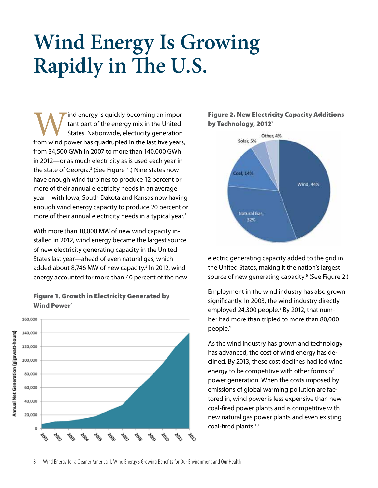## **Wind Energy Is Growing Rapidly in !e U.S.**

Ind energy is quickly becoming an important part of the energy mix in the United<br>States. Nationwide, electricity generation<br>from wind power has quadrupled in the last five years, tant part of the energy mix in the United States. Nationwide, electricity generation from 34,500 GWh in 2007 to more than 140,000 GWh in 2012—or as much electricity as is used each year in the state of Georgia.<sup>2</sup> (See Figure 1.) Nine states now have enough wind turbines to produce 12 percent or more of their annual electricity needs in an average year—with Iowa, South Dakota and Kansas now having enough wind energy capacity to produce 20 percent or more of their annual electricity needs in a typical year. $3$ 

With more than 10,000 MW of new wind capacity installed in 2012, wind energy became the largest source of new electricity generating capacity in the United States last year—ahead of even natural gas, which added about 8,746 MW of new capacity.<sup>5</sup> In 2012, wind energy accounted for more than 40 percent of the new



#### Figure 1. Growth in Electricity Generated by Wind Power<sup>4</sup>

#### Figure 2. New Electricity Capacity Additions by Technology, 2012 $^7$



electric generating capacity added to the grid in the United States, making it the nation's largest source of new generating capacity.<sup>6</sup> (See Figure 2.)

Employment in the wind industry has also grown significantly. In 2003, the wind industry directly employed 24,300 people.<sup>8</sup> By 2012, that number had more than tripled to more than 80,000 people.<sup>9</sup>

As the wind industry has grown and technology has advanced, the cost of wind energy has declined. By 2013, these cost declines had led wind energy to be competitive with other forms of power generation. When the costs imposed by emissions of global warming pollution are factored in, wind power is less expensive than new coal-fired power plants and is competitive with new natural gas power plants and even existing coal-fired plants.<sup>10</sup>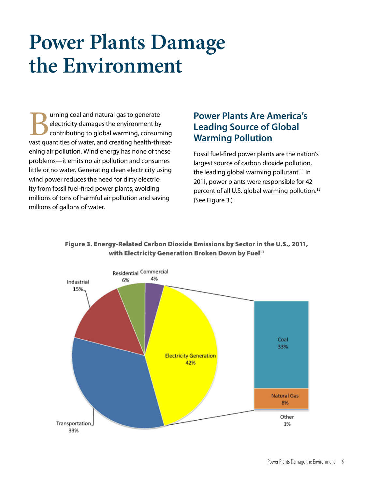## **Power Plants Damage the Environment**

**Burning coal and natural gas to generate electricity damages the environment by contributing to global warming, consum<br>vast quantities of water, and creating health-thr** electricity damages the environment by contributing to global warming, consuming vast quantities of water, and creating health-threatening air pollution. Wind energy has none of these problems—it emits no air pollution and consumes little or no water. Generating clean electricity using wind power reduces the need for dirty electricity from fossil fuel-fired power plants, avoiding millions of tons of harmful air pollution and saving millions of gallons of water.

## **Power Plants Are America's Leading Source of Global Warming Pollution**

Fossil fuel-fired power plants are the nation's largest source of carbon dioxide pollution, the leading global warming pollutant.<sup>11</sup> In 2011, power plants were responsible for 42 percent of all U.S. global warming pollution. $12$ (See Figure 3.)



#### Figure 3. Energy-Related Carbon Dioxide Emissions by Sector in the U.S., 2011, with Electricity Generation Broken Down by Fuel<sup>13</sup>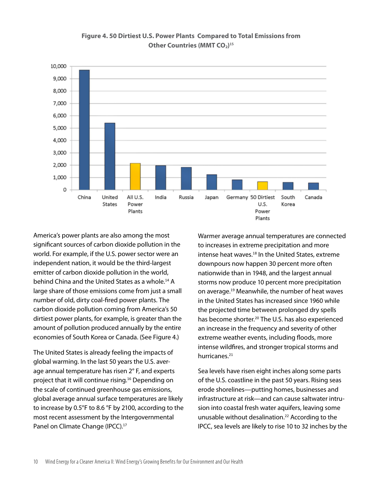

**Figure 4. 50 Dirtiest U.S. Power Plants Compared to Total Emissions from Other Countries (MMT CO<sub>2</sub>)<sup>15</sup>** 

America's power plants are also among the most significant sources of carbon dioxide pollution in the world. For example, if the U.S. power sector were an independent nation, it would be the third-largest emitter of carbon dioxide pollution in the world, behind China and the United States as a whole.<sup>14</sup> A large share of those emissions come from just a small number of old, dirty coal-fired power plants. The carbon dioxide pollution coming from America's 50 dirtiest power plants, for example, is greater than the amount of pollution produced annually by the entire economies of South Korea or Canada. (See Figure 4.)

The United States is already feeling the impacts of global warming. In the last 50 years the U.S. average annual temperature has risen 2° F, and experts project that it will continue rising.<sup>16</sup> Depending on the scale of continued greenhouse gas emissions, global average annual surface temperatures are likely to increase by 0.5°F to 8.6 °F by 2100, according to the most recent assessment by the Intergovernmental Panel on Climate Change (IPCC).<sup>17</sup>

Warmer average annual temperatures are connected to increases in extreme precipitation and more intense heat waves.<sup>18</sup> In the United States, extreme downpours now happen 30 percent more often nationwide than in 1948, and the largest annual storms now produce 10 percent more precipitation on average.<sup>19</sup> Meanwhile, the number of heat waves in the United States has increased since 1960 while the projected time between prolonged dry spells has become shorter.<sup>20</sup> The U.S. has also experienced an increase in the frequency and severity of other extreme weather events, including floods, more intense wildfires, and stronger tropical storms and hurricanes.<sup>21</sup>

Sea levels have risen eight inches along some parts of the U.S. coastline in the past 50 years. Rising seas erode shorelines—putting homes, businesses and infrastructure at risk—and can cause saltwater intrusion into coastal fresh water aquifers, leaving some unusable without desalination.<sup>22</sup> According to the IPCC, sea levels are likely to rise 10 to 32 inches by the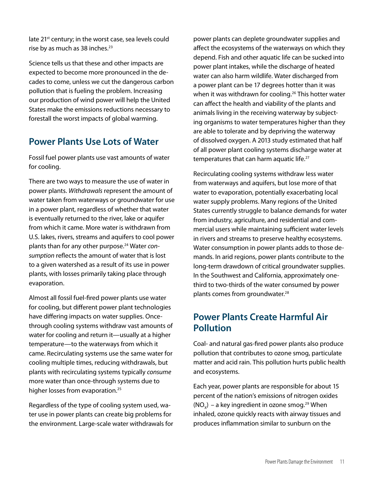late 21<sup>st</sup> century; in the worst case, sea levels could rise by as much as 38 inches. $23$ 

Science tells us that these and other impacts are expected to become more pronounced in the decades to come, unless we cut the dangerous carbon pollution that is fueling the problem. Increasing our production of wind power will help the United States make the emissions reductions necessary to forestall the worst impacts of global warming.

## **Power Plants Use Lots of Water**

Fossil fuel power plants use vast amounts of water for cooling.

There are two ways to measure the use of water in power plants. Withdrawals represent the amount of water taken from waterways or groundwater for use in a power plant, regardless of whether that water is eventually returned to the river, lake or aquifer from which it came. More water is withdrawn from U.S. lakes, rivers, streams and aquifers to cool power plants than for any other purpose.<sup>24</sup> Water consumption reflects the amount of water that is lost to a given watershed as a result of its use in power plants, with losses primarily taking place through evaporation.

Almost all fossil fuel-fired power plants use water for cooling, but different power plant technologies have differing impacts on water supplies. Oncethrough cooling systems withdraw vast amounts of water for cooling and return it—usually at a higher temperature—to the waterways from which it came. Recirculating systems use the same water for cooling multiple times, reducing withdrawals, but plants with recirculating systems typically consume more water than once-through systems due to higher losses from evaporation.<sup>25</sup>

Regardless of the type of cooling system used, water use in power plants can create big problems for the environment. Large-scale water withdrawals for power plants can deplete groundwater supplies and affect the ecosystems of the waterways on which they depend. Fish and other aquatic life can be sucked into power plant intakes, while the discharge of heated water can also harm wildlife. Water discharged from a power plant can be 17 degrees hotter than it was when it was withdrawn for cooling.<sup>26</sup> This hotter water can affect the health and viability of the plants and animals living in the receiving waterway by subjecting organisms to water temperatures higher than they are able to tolerate and by depriving the waterway of dissolved oxygen. A 2013 study estimated that half of all power plant cooling systems discharge water at temperatures that can harm aquatic life.<sup>27</sup>

Recirculating cooling systems withdraw less water from waterways and aquifers, but lose more of that water to evaporation, potentially exacerbating local water supply problems. Many regions of the United States currently struggle to balance demands for water from industry, agriculture, and residential and commercial users while maintaining sufficient water levels in rivers and streams to preserve healthy ecosystems. Water consumption in power plants adds to those demands. In arid regions, power plants contribute to the long-term drawdown of critical groundwater supplies. In the Southwest and California, approximately onethird to two-thirds of the water consumed by power plants comes from groundwater.<sup>28</sup>

## **Power Plants Create Harmful Air Pollution**

Coal- and natural gas-fired power plants also produce pollution that contributes to ozone smog, particulate matter and acid rain. This pollution hurts public health and ecosystems.

Each year, power plants are responsible for about 15 percent of the nation's emissions of nitrogen oxides  $NO<sub>v</sub>$ ) – a key ingredient in ozone smog.<sup>29</sup> When inhaled, ozone quickly reacts with airway tissues and produces inflammation similar to sunburn on the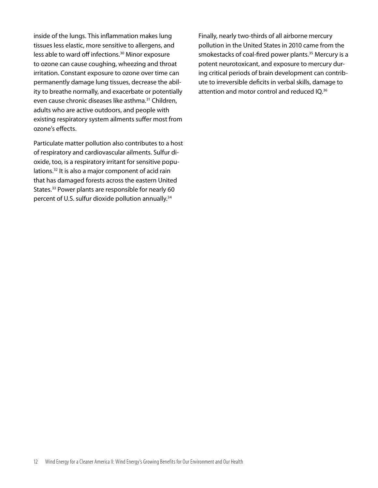inside of the lungs. This inflammation makes lung tissues less elastic, more sensitive to allergens, and less able to ward off infections.<sup>30</sup> Minor exposure to ozone can cause coughing, wheezing and throat irritation. Constant exposure to ozone over time can permanently damage lung tissues, decrease the ability to breathe normally, and exacerbate or potentially even cause chronic diseases like asthma.<sup>31</sup> Children, adults who are active outdoors, and people with existing respiratory system ailments suffer most from ozone's effects.

Particulate matter pollution also contributes to a host of respiratory and cardiovascular ailments. Sulfur dioxide, too, is a respiratory irritant for sensitive populations.<sup>32</sup> It is also a major component of acid rain that has damaged forests across the eastern United States.<sup>33</sup> Power plants are responsible for nearly 60 percent of U.S. sulfur dioxide pollution annually.<sup>34</sup>

Finally, nearly two-thirds of all airborne mercury pollution in the United States in 2010 came from the smokestacks of coal-fired power plants.<sup>35</sup> Mercury is a potent neurotoxicant, and exposure to mercury during critical periods of brain development can contribute to irreversible deficits in verbal skills, damage to attention and motor control and reduced IQ.<sup>36</sup>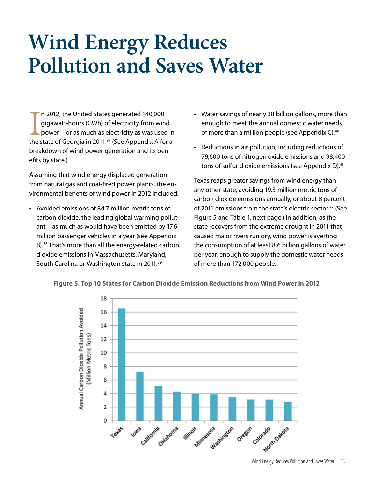## **Wind Energy Reduces Pollution and Saves Water**

In 2012, the United States generated 140,000<br>gigawatt-hours (GWh) of electricity from wind<br>power—or as much as electricity as was used in<br>the state of Georgia in 2011.<sup>37</sup> (See Appendix A for a n 2012, the United States generated 140,000 gigawatt-hours (GWh) of electricity from wind power—or as much as electricity as was used in breakdown of wind power generation and its benefits by state.)

Assuming that wind energy displaced generation from natural gas and coal-fired power plants, the environmental benefits of wind power in 2012 included:

• Avoided emissions of 84.7 million metric tons of carbon dioxide, the leading global warming pollutant—as much as would have been emitted by 17.6 million passenger vehicles in a year (see Appendix B).38 That's more than all the energy-related carbon dioxide emissions in Massachusetts, Maryland, South Carolina or Washington state in 2011.39

- Water savings of nearly 38 billion gallons, more than enough to meet the annual domestic water needs of more than a million people (see Appendix C). $40$
- Reductions in air pollution, including reductions of 79,600 tons of nitrogen oxide emissions and 98,400 tons of sulfur dioxide emissions (see Appendix D).<sup>41</sup>

Texas reaps greater savings from wind energy than any other state, avoiding 19.3 million metric tons of carbon dioxide emissions annually, or about 8 percent of 2011 emissions from the state's electric sector.<sup>42</sup> (See Figure 5 and Table 1, next page.) In addition, as the state recovers from the extreme drought in 2011 that caused major rivers run dry, wind power is averting the consumption of at least 8.6 billion gallons of water per year, enough to supply the domestic water needs of more than 172,000 people.



**Figure 5. Top 10 States for Carbon Dioxide Emission Reductions from Wind Power in 2012**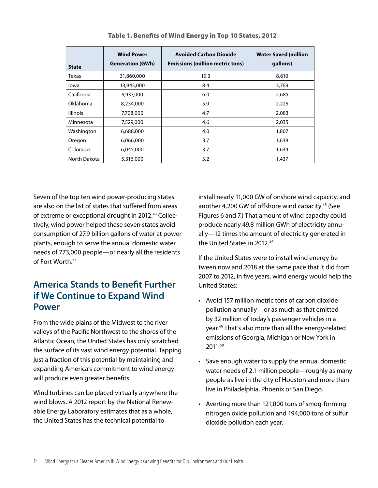|                 | <b>Wind Power</b>       | <b>Avoided Carbon Dioxide</b>          | <b>Water Saved (million</b> |
|-----------------|-------------------------|----------------------------------------|-----------------------------|
| <b>State</b>    | <b>Generation (GWh)</b> | <b>Emissions (million metric tons)</b> | gallons)                    |
| Texas           | 31,860,000              | 19.3                                   | 8,610                       |
| lowa            | 13,945,000              | 8.4                                    | 3,769                       |
| California      | 9,937,000               | 6.0                                    | 2,685                       |
| Oklahoma        | 8,234,000               | 5.0                                    | 2,225                       |
| <b>Illinois</b> | 7,708,000               | 4.7                                    | 2,083                       |
| Minnesota       | 7,529,000               | 4.6                                    | 2,035                       |
| Washington      | 6,688,000               | 4.0                                    | 1,807                       |
| Oregon          | 6,066,000               | 3.7                                    | 1,639                       |
| Colorado        | 6,045,000               | 3.7                                    | 1,634                       |
| North Dakota    | 5,316,000               | 3.2                                    | 1,437                       |

Table 1. Benefits of Wind Energy in Top 10 States, 2012

Seven of the top ten wind power-producing states are also on the list of states that suffered from areas of extreme or exceptional drought in 2012.<sup>43</sup> Collectively, wind power helped these seven states avoid consumption of 27.9 billion gallons of water at power plants, enough to serve the annual domestic water needs of 773,000 people—or nearly all the residents of Fort Worth.<sup>44</sup>

## **America Stands to Bene!t Further if We Continue to Expand Wind Power**

From the wide plains of the Midwest to the river valleys of the Pacific Northwest to the shores of the Atlantic Ocean, the United States has only scratched the surface of its vast wind energy potential. Tapping just a fraction of this potential by maintaining and expanding America's commitment to wind energy will produce even greater benefits.

Wind turbines can be placed virtually anywhere the wind blows. A 2012 report by the National Renewable Energy Laboratory estimates that as a whole, the United States has the technical potential to

install nearly 11,000 GW of onshore wind capacity, and another 4,200 GW of offshore wind capacity.<sup>45</sup> (See Figures 6 and 7.) That amount of wind capacity could produce nearly 49.8 million GWh of electricity annually—12 times the amount of electricity generated in the United States in 2012.<sup>46</sup>

If the United States were to install wind energy between now and 2018 at the same pace that it did from 2007 to 2012, in five years, wind energy would help the United States:

- Avoid 157 million metric tons of carbon dioxide pollution annually—or as much as that emitted by 32 million of today's passenger vehicles in a year.49 That's also more than all the energy-related emissions of Georgia, Michigan or New York in 2011.50
- Save enough water to supply the annual domestic water needs of 2.1 million people—roughly as many people as live in the city of Houston and more than live in Philadelphia, Phoenix or San Diego.
- Averting more than 121,000 tons of smog-forming nitrogen oxide pollution and 194,000 tons of sulfur dioxide pollution each year.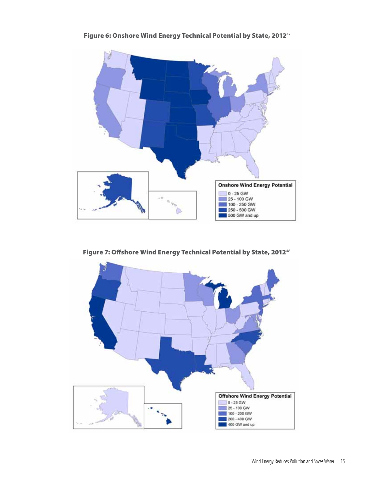

Figure 6: Onshore Wind Energy Technical Potential by State, 2012<sup>47</sup>

Figure 7: Offshore Wind Energy Technical Potential by State, 2012<sup>48</sup>

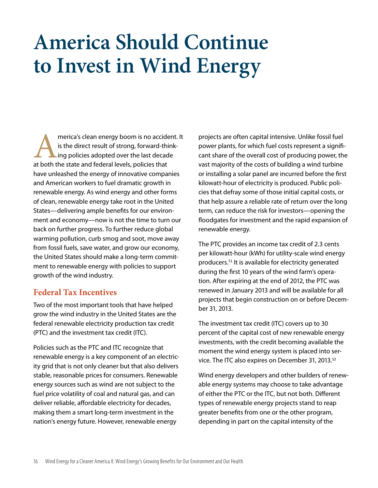## **America Should Continue to Invest in Wind Energy**

merica's clean energy boom is no accident. It is the direct result of strong, forward-thinking policies adopted over the last decade at both the state and federal levels, policies that have unleashed the energy of innovative companies and American workers to fuel dramatic growth in renewable energy. As wind energy and other forms of clean, renewable energy take root in the United States—delivering ample benefits for our environment and economy—now is not the time to turn our back on further progress. To further reduce global warming pollution, curb smog and soot, move away from fossil fuels, save water, and grow our economy, the United States should make a long-term commitment to renewable energy with policies to support growth of the wind industry.

## **Federal Tax Incentives**

Two of the most important tools that have helped grow the wind industry in the United States are the federal renewable electricity production tax credit (PTC) and the investment tax credit (ITC).

Policies such as the PTC and ITC recognize that renewable energy is a key component of an electricity grid that is not only cleaner but that also delivers stable, reasonable prices for consumers. Renewable energy sources such as wind are not subject to the fuel price volatility of coal and natural gas, and can deliver reliable, affordable electricity for decades, making them a smart long-term investment in the nation's energy future. However, renewable energy

projects are often capital intensive. Unlike fossil fuel power plants, for which fuel costs represent a significant share of the overall cost of producing power, the vast majority of the costs of building a wind turbine or installing a solar panel are incurred before the first kilowatt-hour of electricity is produced. Public policies that defray some of those initial capital costs, or that help assure a reliable rate of return over the long term, can reduce the risk for investors—opening the floodgates for investment and the rapid expansion of renewable energy.

The PTC provides an income tax credit of 2.3 cents per kilowatt-hour (kWh) for utility-scale wind energy producers.<sup>51</sup> It is available for electricity generated during the first 10 years of the wind farm's operation. After expiring at the end of 2012, the PTC was renewed in January 2013 and will be available for all projects that begin construction on or before December 31, 2013.

The investment tax credit (ITC) covers up to 30 percent of the capital cost of new renewable energy investments, with the credit becoming available the moment the wind energy system is placed into service. The ITC also expires on December 31, 2013.<sup>52</sup>

Wind energy developers and other builders of renewable energy systems may choose to take advantage of either the PTC or the ITC, but not both. Different types of renewable energy projects stand to reap greater benefits from one or the other program, depending in part on the capital intensity of the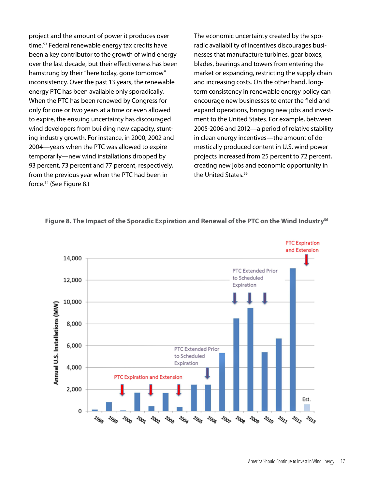project and the amount of power it produces over time.<sup>53</sup> Federal renewable energy tax credits have been a key contributor to the growth of wind energy over the last decade, but their effectiveness has been hamstrung by their "here today, gone tomorrow" inconsistency. Over the past 13 years, the renewable energy PTC has been available only sporadically. When the PTC has been renewed by Congress for only for one or two years at a time or even allowed to expire, the ensuing uncertainty has discouraged wind developers from building new capacity, stunting industry growth. For instance, in 2000, 2002 and 2004—years when the PTC was allowed to expire temporarily—new wind installations dropped by 93 percent, 73 percent and 77 percent, respectively, from the previous year when the PTC had been in force.<sup>54</sup> (See Figure 8.)

The economic uncertainty created by the sporadic availability of incentives discourages businesses that manufacture turbines, gear boxes, blades, bearings and towers from entering the market or expanding, restricting the supply chain and increasing costs. On the other hand, longterm consistency in renewable energy policy can encourage new businesses to enter the field and expand operations, bringing new jobs and investment to the United States. For example, between 2005-2006 and 2012—a period of relative stability in clean energy incentives—the amount of domestically produced content in U.S. wind power projects increased from 25 percent to 72 percent, creating new jobs and economic opportunity in the United States.<sup>55</sup>



#### **Figure 8. The Impact of the Sporadic Expiration and Renewal of the PTC on the Wind Industry"#**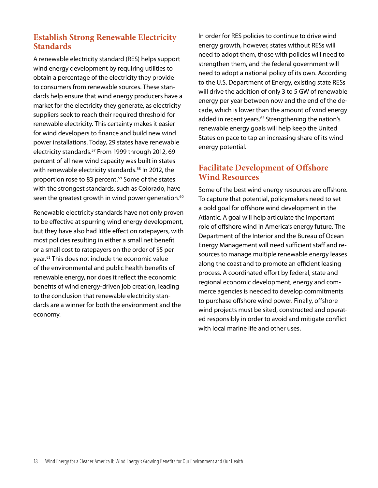## **Establish Strong Renewable Electricity Standards**

A renewable electricity standard (RES) helps support wind energy development by requiring utilities to obtain a percentage of the electricity they provide to consumers from renewable sources. These standards help ensure that wind energy producers have a market for the electricity they generate, as electricity suppliers seek to reach their required threshold for renewable electricity. This certainty makes it easier for wind developers to finance and build new wind power installations. Today, 29 states have renewable electricity standards.<sup>57</sup> From 1999 through 2012, 69 percent of all new wind capacity was built in states with renewable electricity standards.<sup>58</sup> In 2012, the proportion rose to 83 percent.<sup>59</sup> Some of the states with the strongest standards, such as Colorado, have seen the greatest growth in wind power generation.<sup>60</sup>

Renewable electricity standards have not only proven to be effective at spurring wind energy development, but they have also had little effect on ratepayers, with most policies resulting in either a small net benefit or a small cost to ratepayers on the order of \$5 per year.<sup>61</sup> This does not include the economic value of the environmental and public health benefits of renewable energy, nor does it reflect the economic benefits of wind energy-driven job creation, leading to the conclusion that renewable electricity standards are a winner for both the environment and the economy.

In order for RES policies to continue to drive wind energy growth, however, states without RESs will need to adopt them, those with policies will need to strengthen them, and the federal government will need to adopt a national policy of its own. According to the U.S. Department of Energy, existing state RESs will drive the addition of only 3 to 5 GW of renewable energy per year between now and the end of the decade, which is lower than the amount of wind energy added in recent years.<sup>62</sup> Strengthening the nation's renewable energy goals will help keep the United States on pace to tap an increasing share of its wind energy potential.

## **Facilitate Development of Offshore Wind Resources**

Some of the best wind energy resources are offshore. To capture that potential, policymakers need to set a bold goal for offshore wind development in the Atlantic. A goal will help articulate the important role of offshore wind in America's energy future. The Department of the Interior and the Bureau of Ocean Energy Management will need sufficient staff and resources to manage multiple renewable energy leases along the coast and to promote an efficient leasing process. A coordinated effort by federal, state and regional economic development, energy and commerce agencies is needed to develop commitments to purchase offshore wind power. Finally, offshore wind projects must be sited, constructed and operated responsibly in order to avoid and mitigate conflict with local marine life and other uses.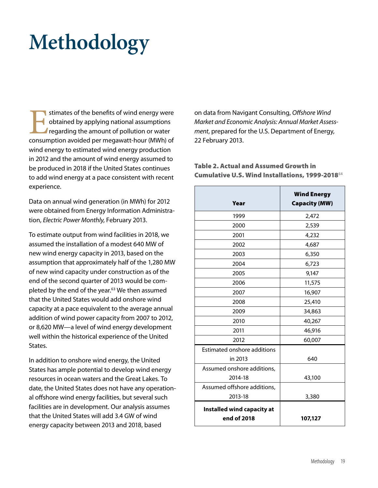## **Methodology**

stimates of the benefits of wind energy were<br>obtained by applying national assumptions<br>regarding the amount of pollution or water<br>consumption avoided per megawatt-hour (MWh) of obtained by applying national assumptions regarding the amount of pollution or water consumption avoided per megawatt-hour (MWh) of wind energy to estimated wind energy production in 2012 and the amount of wind energy assumed to be produced in 2018 if the United States continues to add wind energy at a pace consistent with recent experience.

Data on annual wind generation (in MWh) for 2012 were obtained from Energy Information Administration, Electric Power Monthly, February 2013.

To estimate output from wind facilities in 2018, we assumed the installation of a modest 640 MW of new wind energy capacity in 2013, based on the assumption that approximately half of the 1,280 MW of new wind capacity under construction as of the end of the second quarter of 2013 would be completed by the end of the year. $63$  We then assumed that the United States would add onshore wind capacity at a pace equivalent to the average annual addition of wind power capacity from 2007 to 2012, or 8,620 MW—a level of wind energy development well within the historical experience of the United States.

In addition to onshore wind energy, the United States has ample potential to develop wind energy resources in ocean waters and the Great Lakes. To date, the United States does not have any operational offshore wind energy facilities, but several such facilities are in development. Our analysis assumes that the United States will add 3.4 GW of wind energy capacity between 2013 and 2018, based

on data from Navigant Consulting, Offshore Wind Market and Economic Analysis: Annual Market Assessment, prepared for the U.S. Department of Energy, 22 February 2013.

Table 2. Actual and Assumed Growth in Cumulative U.S. Wind Installations, 1999-2018<sup>64</sup>

| Year                                             | <b>Wind Energy</b><br><b>Capacity (MW)</b> |
|--------------------------------------------------|--------------------------------------------|
| 1999                                             | 2,472                                      |
| 2000                                             | 2,539                                      |
| 2001                                             | 4,232                                      |
| 2002                                             | 4,687                                      |
| 2003                                             | 6,350                                      |
| 2004                                             | 6,723                                      |
| 2005                                             | 9,147                                      |
| 2006                                             | 11,575                                     |
| 2007                                             | 16,907                                     |
| 2008                                             | 25,410                                     |
| 2009                                             | 34,863                                     |
| 2010                                             | 40,267                                     |
| 2011                                             | 46,916                                     |
| 2012                                             | 60,007                                     |
| <b>Estimated onshore additions</b>               |                                            |
| in 2013                                          | 640                                        |
| Assumed onshore additions,                       |                                            |
| 2014-18                                          | 43,100                                     |
| Assumed offshore additions,                      |                                            |
| 2013-18                                          | 3,380                                      |
| <b>Installed wind capacity at</b><br>end of 2018 | 107,127                                    |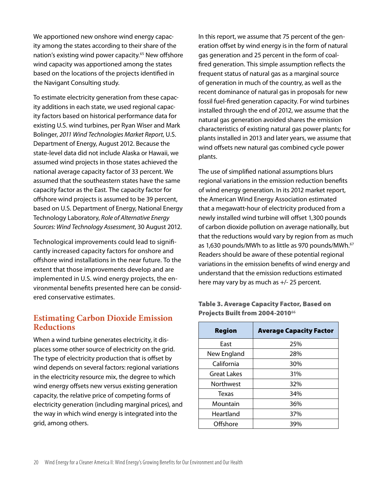We apportioned new onshore wind energy capacity among the states according to their share of the nation's existing wind power capacity.<sup>65</sup> New offshore wind capacity was apportioned among the states based on the locations of the projects identified in the Navigant Consulting study.

To estimate electricity generation from these capacity additions in each state, we used regional capacity factors based on historical performance data for existing U.S. wind turbines, per Ryan Wiser and Mark Bolinger, 2011 Wind Technologies Market Report, U.S. Department of Energy, August 2012. Because the state-level data did not include Alaska or Hawaii, we assumed wind projects in those states achieved the national average capacity factor of 33 percent. We assumed that the southeastern states have the same capacity factor as the East. The capacity factor for offshore wind projects is assumed to be 39 percent, based on U.S. Department of Energy, National Energy Technology Laboratory, Role of Alternative Energy Sources: Wind Technology Assessment, 30 August 2012.

Technological improvements could lead to significantly increased capacity factors for onshore and offshore wind installations in the near future. To the extent that those improvements develop and are implemented in U.S. wind energy projects, the environmental benefits presented here can be considered conservative estimates.

## **Estimating Carbon Dioxide Emission Reductions**

When a wind turbine generates electricity, it displaces some other source of electricity on the grid. The type of electricity production that is offset by wind depends on several factors: regional variations in the electricity resource mix, the degree to which wind energy offsets new versus existing generation capacity, the relative price of competing forms of electricity generation (including marginal prices), and the way in which wind energy is integrated into the grid, among others.

In this report, we assume that 75 percent of the generation offset by wind energy is in the form of natural gas generation and 25 percent in the form of coal fired generation. This simple assumption reflects the frequent status of natural gas as a marginal source of generation in much of the country, as well as the recent dominance of natural gas in proposals for new fossil fuel-fired generation capacity. For wind turbines installed through the end of 2012, we assume that the natural gas generation avoided shares the emission characteristics of existing natural gas power plants; for plants installed in 2013 and later years, we assume that wind offsets new natural gas combined cycle power plants.

The use of simplified national assumptions blurs regional variations in the emission reduction benefits of wind energy generation. In its 2012 market report, the American Wind Energy Association estimated that a megawatt-hour of electricity produced from a newly installed wind turbine will offset 1,300 pounds of carbon dioxide pollution on average nationally, but that the reductions would vary by region from as much as 1,630 pounds/MWh to as little as 970 pounds/MWh.<sup>67</sup> Readers should be aware of these potential regional variations in the emission benefits of wind energy and understand that the emission reductions estimated here may vary by as much as +/- 25 percent.

#### Table 3. Average Capacity Factor, Based on **Projects Built from 2004-2010<sup>66</sup>**

| <b>Region</b>    | <b>Average Capacity Factor</b> |
|------------------|--------------------------------|
| East             | 25%                            |
| New England      | 28%                            |
| California       | 30%                            |
| Great Lakes      | 31%                            |
| <b>Northwest</b> | 32%                            |
| Texas            | 34%                            |
| Mountain         | 36%                            |
| Heartland        | 37%                            |
| Offshore         | 39%                            |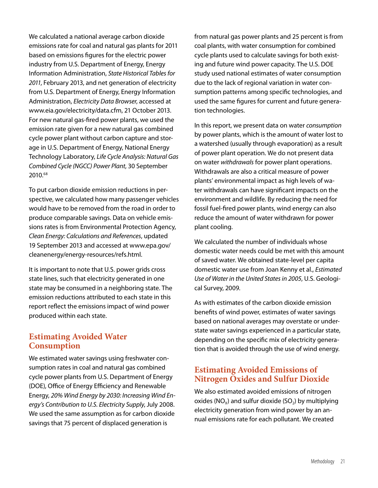We calculated a national average carbon dioxide emissions rate for coal and natural gas plants for 2011 based on emissions figures for the electric power industry from U.S. Department of Energy, Energy Information Administration, State Historical Tables for 2011, February 2013, and net generation of electricity from U.S. Department of Energy, Energy Information Administration, Electricity Data Browser, accessed at www.eia.gov/electricity/data.cfm, 21 October 2013. For new natural gas-fired power plants, we used the emission rate given for a new natural gas combined cycle power plant without carbon capture and storage in U.S. Department of Energy, National Energy Technology Laboratory, Life Cycle Analysis: Natural Gas Combined Cycle (NGCC) Power Plant, 30 September 2010.68

To put carbon dioxide emission reductions in perspective, we calculated how many passenger vehicles would have to be removed from the road in order to produce comparable savings. Data on vehicle emissions rates is from Environmental Protection Agency, Clean Energy: Calculations and References, updated 19 September 2013 and accessed at www.epa.gov/ cleanenergy/energy-resources/refs.html.

It is important to note that U.S. power grids cross state lines, such that electricity generated in one state may be consumed in a neighboring state. The emission reductions attributed to each state in this report reflect the emissions impact of wind power produced within each state.

#### **Estimating Avoided Water Consumption**

We estimated water savings using freshwater consumption rates in coal and natural gas combined cycle power plants from U.S. Department of Energy (DOE), Office of Energy Efficiency and Renewable Energy, 20% Wind Energy by 2030: Increasing Wind Energy's Contribution to U.S. Electricity Supply, July 2008. We used the same assumption as for carbon dioxide savings that 75 percent of displaced generation is

from natural gas power plants and 25 percent is from coal plants, with water consumption for combined cycle plants used to calculate savings for both existing and future wind power capacity. The U.S. DOE study used national estimates of water consumption due to the lack of regional variation in water consumption patterns among specific technologies, and used the same figures for current and future generation technologies.

In this report, we present data on water consumption by power plants, which is the amount of water lost to a watershed (usually through evaporation) as a result of power plant operation. We do not present data on water withdrawals for power plant operations. Withdrawals are also a critical measure of power plants' environmental impact as high levels of water withdrawals can have significant impacts on the environment and wildlife. By reducing the need for fossil fuel-fired power plants, wind energy can also reduce the amount of water withdrawn for power plant cooling.

We calculated the number of individuals whose domestic water needs could be met with this amount of saved water. We obtained state-level per capita domestic water use from Joan Kenny et al., Estimated Use of Water in the United States in 2005, U.S. Geological Survey, 2009.

As with estimates of the carbon dioxide emission benefits of wind power, estimates of water savings based on national averages may overstate or understate water savings experienced in a particular state, depending on the specific mix of electricity generation that is avoided through the use of wind energy.

## **Estimating Avoided Emissions of Nitrogen Oxides and Sulfur Dioxide**

We also estimated avoided emissions of nitrogen oxides ( $NO<sub>x</sub>$ ) and sulfur dioxide ( $SO<sub>2</sub>$ ) by multiplying electricity generation from wind power by an annual emissions rate for each pollutant. We created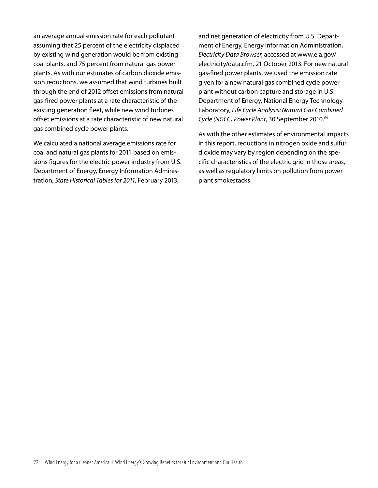an average annual emission rate for each pollutant assuming that 25 percent of the electricity displaced by existing wind generation would be from existing coal plants, and 75 percent from natural gas power plants. As with our estimates of carbon dioxide emission reductions, we assumed that wind turbines built through the end of 2012 offset emissions from natural gas-fired power plants at a rate characteristic of the existing generation fleet, while new wind turbines offset emissions at a rate characteristic of new natural gas combined cycle power plants.

We calculated a national average emissions rate for coal and natural gas plants for 2011 based on emissions figures for the electric power industry from U.S. Department of Energy, Energy Information Administration, State Historical Tables for 2011, February 2013,

and net generation of electricity from U.S. Department of Energy, Energy Information Administration, Electricity Data Browser, accessed at www.eia.gov/ electricity/data.cfm, 21 October 2013. For new natural gas-fired power plants, we used the emission rate given for a new natural gas combined cycle power plant without carbon capture and storage in U.S. Department of Energy, National Energy Technology Laboratory, Life Cycle Analysis: Natural Gas Combined Cycle (NGCC) Power Plant, 30 September 2010.<sup>69</sup>

As with the other estimates of environmental impacts in this report, reductions in nitrogen oxide and sulfur dioxide may vary by region depending on the specific characteristics of the electric grid in those areas, as well as regulatory limits on pollution from power plant smokestacks.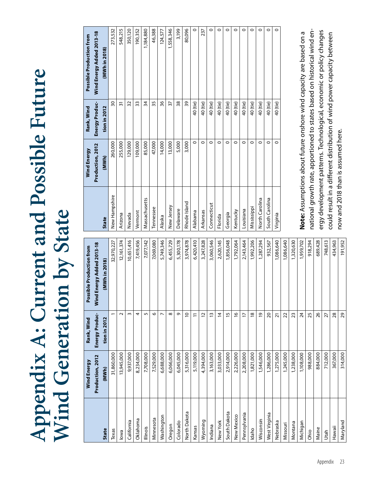# **Appendix A: Current and Possible Future Appendix A: Current and Possible Future Wind Generation by State Wind Generation by State**

|               | Wind Energy      | Rank, Wind         | Possible Production from  |
|---------------|------------------|--------------------|---------------------------|
|               | Production, 2012 | Energy Produc-     | Wind Energy Added 2013-18 |
| <b>State</b>  | (MWh)            | tion in 2012       | (MWh in 2018)             |
| Texas         | 31,860,000       |                    | 32,970,227                |
| lowa          | 13,945,000       | $\sim$             | 12,161,374                |
| California    | 9,937,000        | $\sim$             | 10,651,416                |
| Oklahoma      | 8,234,000        | 4                  | 7,419,456                 |
| Illinois      | 7,708,000        | 5                  | 7,077,142                 |
| Minnesota     | 7,529,000        | $\circ$            | 7,069,080                 |
| Washington    | 6,688,000        | $\overline{ }$     | 5,749,346                 |
| Oregon        | 6,066,000        | $\infty$           | 6,455,729                 |
| Colorado      | 6,045,000        | $\sigma$           | 5,300,178                 |
| North Dakota  | 5,316,000        | $\overline{C}$     | 3,974,878                 |
| Kansas        | 5,119,000        | Ξ                  | 6,420,410                 |
| Wyoming       | 4,394,000        | 12                 | 3,247,828                 |
| Indiana       | 3,163,000        | $\tilde{5}$        | 3,060,546                 |
| New York      | 3,033,000        | $\overline{4}$     | 2,620,145                 |
| South Dakota  | 2,914,000        | $\overline{1}$     | 1,856,048                 |
| New Mexico    | 2,226,000        | $\frac{\infty}{2}$ | 1,792,064                 |
| Pennsylvania  | 2,208,000        | F                  | 2,143,464                 |
| Idaho         | 1,821,000        | $\frac{8}{2}$      | 1,992,206                 |
| Wisconsin     | 1,546,000        | $\overline{6}$     | 1,287,294                 |
| West Virginia | 1,286,000        | $\overline{c}$     | 932,567                   |
| Nebraska      | 1,275,000        | ភ                  | 1,086,640                 |
| Missouri      | 1,245,000        | 22                 | 1,086,640                 |
| Montana       | 1,238,000        | 23                 | 1,320,630                 |
| Michigan      | 1,108,000        | $\overline{24}$    | 1,959,702                 |
| Ohio          | 988,000          | 25                 | 918,294                   |
| Maine         | 884,000          | 26                 | 689,428                   |
| Utah          | 712,000          | 27                 | 748,613                   |
| Hawaii        | 367,000          | 28                 | 434,963                   |
| Maryland      | 314,000          | 29                 | 191,952                   |

|                | Wind Energy      | Rank, Wind     |                           |
|----------------|------------------|----------------|---------------------------|
|                |                  |                | Possible Production from  |
|                | Production, 2012 | Energy Produc- | Wind Energy Added 2013-18 |
| <b>State</b>   | (MWh)            | tion in 2012   | (MWh in 2018)             |
| New Hampshire  | 260,000          | 30             | 273,532                   |
| Arizona        | 255,000          | $\overline{5}$ | 548,215                   |
| Nevada         | 129,000          | 32             | 350,120                   |
| Vermont        | 109,000          | 33             | 190,352                   |
| Massachusetts  | 85,000           | $\frac{3}{4}$  | 1,184,880                 |
| Tennessee      | 47,000           | 35             | 46,388                    |
| Alaska         | 14,000           | 36             | 124,577                   |
| New Jersey     | 13,000           | 57             | 1,558,346                 |
| Delaware       | 5,000            | 38             | 3,199                     |
| Rhode Island   | 3,000            | 39             | 80,096                    |
| Alabama        | $\circ$          | 40 (tie)       | $\circ$                   |
| Arkansas       | $\circ$          | 40 (tie)       | 237                       |
| Connecticut    | $\circ$          | 40 (tie)       | $\circ$                   |
| Florida        | $\circ$          | 40 (tie)       | $\circ$                   |
| Georgia        | $\circ$          | 40 (tie)       | $\circ$                   |
| Kentucky       | $\circ$          | 40 (tie)       | $\circ$                   |
| Louisiana      | $\circ$          | 40 (tie)       | $\circ$                   |
| Mississippi    | $\circ$          | 40 (tie)       | $\circ$                   |
| North Carolina | $\circ$          | 40 (tie)       | $\circ$                   |
| South Carolina | $\circ$          | 40 (tie)       | $\circ$                   |
| Virginia       | $\circ$          | 40 (tie)       | $\circ$                   |
|                |                  |                |                           |

national growth rate, apportioned to states based on historical wind ennational growth rate, apportioned to states based on historical wind energy development patterns. Technological, economic or policy changes ergy development patterns. Technological, economic or policy changes Note: Assumptions about future onshore wind capacity are based on a **Note:** Assumptions about future onshore wind capacity are based on a could result in a different distribution of wind power capacity between could result in a different distribution of wind power capacity between now and 2018 than is assumed here. now and 2018 than is assumed here.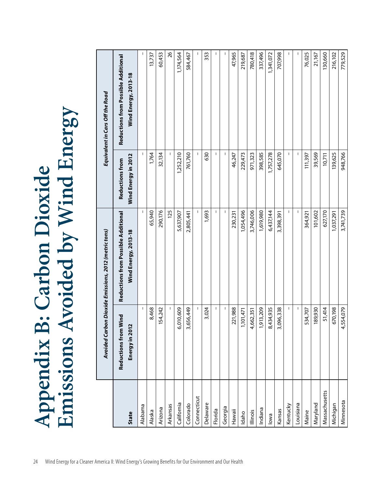|               |                                        | Avoided Carbon Dioxide Emissions, 2012 (metric tons)        |                                               | Equivalent in Cars Off the Road                             |
|---------------|----------------------------------------|-------------------------------------------------------------|-----------------------------------------------|-------------------------------------------------------------|
| <b>State</b>  | Reductions from Wind<br>Energy in 2012 | Reductions from Possible Additional<br>Wind Energy, 2013-18 | Wind Energy in 2012<br><b>Reductions from</b> | Reductions from Possible Additional<br>Wind Energy, 2013-18 |
| Alabama       |                                        |                                                             |                                               |                                                             |
| Alaska        | 8,468                                  | 65,940                                                      | 1,764                                         | 13,737                                                      |
| Arizona       | 154,242                                | 290,176                                                     | 32,134                                        | 60,453                                                      |
| Arkansas      |                                        | 125                                                         |                                               | 26                                                          |
| California    | 6,010,609                              | 5,637,907                                                   | 1,252,210                                     | 1,174,564                                                   |
| Colorado      | 3,656,449                              | 2,805,441                                                   | 761,760                                       | 584,467                                                     |
| Connecticut   |                                        |                                                             |                                               |                                                             |
| Delaware      | 3,024                                  | 1,693                                                       | 630                                           | 353                                                         |
| Florida       |                                        |                                                             |                                               |                                                             |
| Georgia       |                                        |                                                             |                                               |                                                             |
| Hawaii        | 221,988                                | 230,231                                                     | 46,247                                        | 47,965                                                      |
| Idaho         | 1,101,471                              | 1,054,496                                                   | 229,473                                       | 219,687                                                     |
| Illinois      | 4,662,351                              | 3,746,006                                                   | 971,323                                       | 780,418                                                     |
| Indiana       | 1,913,209                              | 1,619,980                                                   | 398,585                                       | 337,496                                                     |
| lowa          | 8,434,935                              | 6,437,144                                                   | 1,757,278                                     | 1,341,072                                                   |
| Kansas        | 3,096,338                              | 3,398,391                                                   | 645,070                                       | 707,998                                                     |
| Kentucky      |                                        |                                                             |                                               |                                                             |
| Louisiana     |                                        |                                                             |                                               |                                                             |
| Maine         | 534,707                                | 364,921                                                     | 11,397                                        | 76,025                                                      |
| Maryland      | 189,930                                | 101,602                                                     | 39,569                                        | 21,167                                                      |
| Massachusetts | 51,414                                 | 627,170                                                     | 10,711                                        | 130,660                                                     |
| Michigan      | 670,198                                | 1,037,291                                                   | 139,625                                       | 216,102                                                     |
| Minnesota     | 4,554,079                              | 3,741,739                                                   | 948,766                                       | 779,529                                                     |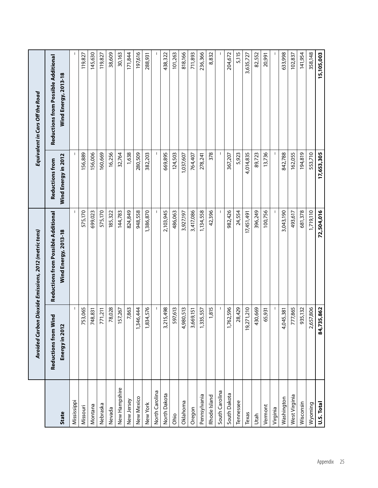|                |                                                               | Avoided Carbon Dioxide Emissions, 2012 (metric tons)        |                                               | Equivalent in Cars Off the Road                             |
|----------------|---------------------------------------------------------------|-------------------------------------------------------------|-----------------------------------------------|-------------------------------------------------------------|
| <b>State</b>   | Wind<br>$\mathbf{\Omega}$<br>Reductions from<br>Energy in 201 | Reductions from Possible Additional<br>Wind Energy, 2013-18 | Wind Energy in 2012<br><b>Reductions from</b> | Reductions from Possible Additional<br>Wind Energy, 2013-18 |
| Mississippi    |                                                               |                                                             |                                               |                                                             |
| Missouri       | 753,065                                                       | 575,170                                                     | 156,889                                       | 119,827                                                     |
| Montana        | 748,831                                                       | 699,023                                                     | 156,006                                       | 145,630                                                     |
| Nebraska       | 771,211                                                       | 575,170                                                     | 160,669                                       | 119,827                                                     |
| Nevada         | 78,028                                                        | 185,322                                                     | 16,256                                        | 38,609                                                      |
| New Hampshire  | 157,267                                                       | 144,783                                                     | 32,764                                        | 30,163                                                      |
| New Jersey     | 7,863                                                         | 824,849                                                     | 1,638                                         | 171,844                                                     |
| New Mexico     | ,346,444                                                      | 948,558                                                     | 280,509                                       | 197,616                                                     |
| New York       | ,834,576                                                      | 1,386,870                                                   | 382,203                                       | 288,931                                                     |
| North Carolina |                                                               |                                                             |                                               |                                                             |
| North Dakota   | ,215,498<br>m                                                 | 2,103,945                                                   | 669,895                                       | 438,322                                                     |
| Ohio           | 597,613                                                       | 486,063                                                     | 124,503                                       | 101,263                                                     |
| Oklahoma       | ,980,513<br>↴                                                 | 3,927,197                                                   | 1,037,607                                     | 818,166                                                     |
| Oregon         | 3,669,151                                                     | 3,417,086                                                   | 764,407                                       | 711,893                                                     |
| Pennsylvania   | ,335,557                                                      | 1,134,558                                                   | 278,241                                       | 236,366                                                     |
| Rhode Island   | 1,815                                                         | 42,396                                                      | 378                                           | 8,832                                                       |
| South Carolina |                                                               |                                                             |                                               |                                                             |
| South Dakota   | ,762,596                                                      | 982,426                                                     | 367,207                                       | 204,672                                                     |
| Tennessee      | 28,429                                                        | 24,554                                                      | 5,923                                         | 5,115                                                       |
| $T$ exas       | 19,271,210                                                    | 17,451,491                                                  | 4,014,835                                     | 3,635,727                                                   |
| Utah           | 430,669                                                       | 396,249                                                     | 89,723                                        | 82,552                                                      |
| Vermont        | 65,931                                                        | 100,756                                                     | 13,736                                        | 20,991                                                      |
| Virginia       |                                                               |                                                             |                                               |                                                             |
| Washington     | ,045,381                                                      | 3,043,190                                                   | 842,788                                       | 633,998                                                     |
| West Virginia  | 777,865                                                       | 493,617                                                     | 162,055                                       | 102,837                                                     |
| Wisconsin      | 935,132                                                       | 681,378                                                     | 194,819                                       | 141,954                                                     |
| Wyoming        | ,657,806                                                      | 1,719,110                                                   | 553,710                                       | 358,148                                                     |
| U.S. Total     | 84,735,862                                                    | 72,504,016                                                  | 17,653,305                                    | 15,105,003                                                  |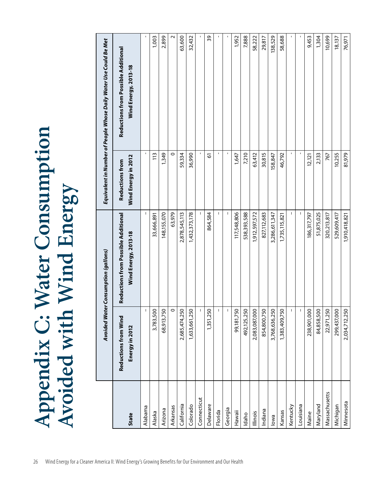|               |                                               | Avoided Water Consumption (gallons)                         |                                               | Equivalent in Number of People Whose Daily Water Use Could Be Met |
|---------------|-----------------------------------------------|-------------------------------------------------------------|-----------------------------------------------|-------------------------------------------------------------------|
| <b>State</b>  | <b>Reductions from Wind</b><br>Energy in 2012 | Reductions from Possible Additional<br>Wind Energy, 2013-18 | Wind Energy in 2012<br><b>Reductions from</b> | Reductions from Possible Additional<br>Wind Energy, 2013-18       |
| Alabama       |                                               |                                                             |                                               |                                                                   |
| Alaska        | 3,783,500                                     | 33,666,891                                                  | 113                                           | 1,003                                                             |
| Arizona       | 68,913,750                                    | 148,155,070                                                 | 1,349                                         | 2,899                                                             |
| Arkansas      | 0                                             | 63,979                                                      | $\circ$                                       |                                                                   |
| California    | 2,685,474,250                                 | 2,878,545,113                                               | 59,334                                        | 63,600                                                            |
| Colorado      | 1,633,661,250                                 | 1,432,373,178                                               | 36,990                                        | 32,432                                                            |
| Connecticut   |                                               |                                                             |                                               |                                                                   |
| Delaware      | 1,351,250                                     | 864,584                                                     | 5                                             | 39                                                                |
| Florida       |                                               |                                                             |                                               |                                                                   |
| Georgia       |                                               | $\mathbf{I}$                                                |                                               |                                                                   |
| Hawaii        | 99,181,750                                    | 117,548,806                                                 | 1,647                                         | 1,952                                                             |
| Idaho         | 492,125,250                                   | 538,393,588                                                 | 7,210                                         | 7,888                                                             |
| lllinois      | 2,083,087,000                                 | 1,912,597,572                                               | 63,412                                        | 58,222                                                            |
| Indiana       | 854,800,750                                   | 827,112,683                                                 | 30,815                                        | 29,817                                                            |
| lowa          | 3,768,636,250                                 | 3,286,611,347                                               | 158,847                                       | 138,529                                                           |
| Kansas        | 1,383,409,750                                 | 1,735,115,821                                               | 46,792                                        | 58,688                                                            |
| Kentucky      | $\mathsf{I}$                                  |                                                             |                                               |                                                                   |
| Louisiana     |                                               |                                                             |                                               |                                                                   |
| Maine         | 238,901,000                                   | 186,317,797                                                 | 12,121                                        | 9,453                                                             |
| Maryland      | 84,858,500                                    | 51,875,025                                                  | 2,133                                         | 1,304                                                             |
| Massachusetts | 22,971,250                                    | 320,213,817                                                 | 767                                           | 10,699                                                            |
| Michigan      | 299,437,000                                   | 529,609,417                                                 | 10,255                                        | 18,137                                                            |
| Minnesota     | 2,034,712,250                                 | 1,910,418,821                                               | 81,979                                        | 76,971                                                            |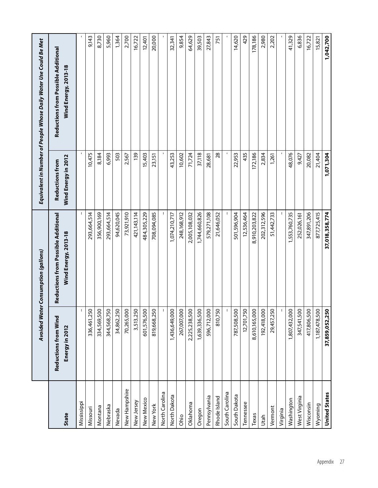|                      |                                        | Avoided Water Consumption (gallons)                         |                                               | Equivalent in Number of People Whose Daily Water Use Could Be Met |
|----------------------|----------------------------------------|-------------------------------------------------------------|-----------------------------------------------|-------------------------------------------------------------------|
| State                | Reductions from Wind<br>Energy in 2012 | Reductions from Possible Additional<br>Wind Energy, 2013-18 | Wind Energy in 2012<br><b>Reductions from</b> | Reductions from Possible Additional<br>Wind Energy, 2013-18       |
| Mississippi          |                                        |                                                             |                                               |                                                                   |
| Missouri             | 336,461,250                            | 293,664,514                                                 | 10,475                                        | 9,143                                                             |
| Montana              | 334,569,500                            | 356,900,169                                                 | 8,184                                         | 8,730                                                             |
| Nebraska             | 344,568,750                            | 293,664,514                                                 | 6,993                                         | 5,960                                                             |
| Nevada               | 34,862,250                             | 94,620,045                                                  | 503                                           | 1,364                                                             |
| New Hampshire        | 70,265,000                             | 73,921,910                                                  | 2,567                                         | 2,700                                                             |
| New Jersey           | 3,513,250                              | 421, 143, 114                                               | 139                                           | 16,722                                                            |
| New Mexico           | 601,576,500                            | 484,305,229                                                 | 15,403                                        | 12,401                                                            |
| New York             | 819,668,250                            | 708,094,085                                                 | 23,151                                        | 20,000                                                            |
| North Carolina       |                                        |                                                             |                                               |                                                                   |
| North Dakota         | 1,436,649,000                          | 1,074,210,717                                               | 43,253                                        | 32,341                                                            |
| Ohio                 | 267,007,000                            | 248,168,912                                                 | 10,602                                        | 9,854                                                             |
| Oklahoma             | 2,225,238,500                          | 2,005,108,032                                               | 71,724                                        | 64,629                                                            |
| Oregon               | 1,639,336,500                          | 1,744,660,826                                               | 37,118                                        | 39,503                                                            |
| Pennsylvania         | 596,712,000                            | 579,271,108                                                 | 28,681                                        | 27,843                                                            |
| Rhode Island         | 810,750                                | 21,646,052                                                  | 28                                            | 751                                                               |
| South Carolina       |                                        |                                                             |                                               |                                                                   |
| South Dakota         | 787,508,500                            | 501,596,904                                                 | 22,953                                        | 14,620                                                            |
| Tennessee            | 12,701,750                             | 12,536,464                                                  | 435                                           | 429                                                               |
| Texas                | 8,610,165,000                          | 8,910,203,822                                               | 172,186                                       | 178,186                                                           |
| Jtah                 | 192,418,000                            | 202,312,596                                                 | 2,834                                         | 2,980                                                             |
| Vermont              | 29,457,250                             | 51,442,733                                                  | 1,261                                         | 2,202                                                             |
| Virginia             |                                        |                                                             |                                               |                                                                   |
| Washington           | 1,807,432,000                          | 1,553,760,735                                               | 48,076                                        | 41,329                                                            |
| West Virginia        | 347,541,500                            | 252,026,161                                                 | 9,427                                         | 6,836                                                             |
| Wisconsin            | 417,806,500                            | 347,891,206                                                 | 20,082                                        | 16,722                                                            |
| Wyoming              | 1,187,478,500                          | 877,725,415                                                 | 21,404                                        | 15,821                                                            |
| <b>United States</b> | 37,859,052,250                         | 37,018,358,774                                              | 1,071,304                                     | 1,042,700                                                         |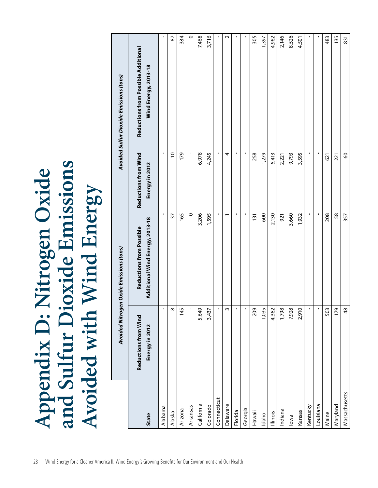|               |                                        | Avoided Nitrogen Oxide Emissions (tons)                     |                                        | <b>Avoided Sulfur Dioxide Emissions (tons)</b>              |
|---------------|----------------------------------------|-------------------------------------------------------------|----------------------------------------|-------------------------------------------------------------|
| State         | Reductions from Wind<br>Energy in 2012 | Additional Wind Energy, 2013-18<br>Reductions from Possible | Reductions from Wind<br>Energy in 2012 | Reductions from Possible Additional<br>Wind Energy, 2013-18 |
| Alabama       |                                        |                                                             |                                        |                                                             |
| Alaska        |                                        | $\overline{5}$                                              | $\overline{a}$                         | 87                                                          |
| Arizona       | 145                                    | 165                                                         | 179                                    | 384                                                         |
| Arkansas      |                                        | $\circ$                                                     |                                        | $\circ$                                                     |
| California    | 5,649                                  | 3,206                                                       | 6,978                                  | 7,468                                                       |
| Colorado      | 3,437                                  | 1,595                                                       | 4,245                                  | 3,716                                                       |
| Connecticut   |                                        | $\blacksquare$                                              |                                        |                                                             |
| Delaware      |                                        |                                                             | 4                                      |                                                             |
| Florida       |                                        | $\mathbf{I}$                                                | $\mathbf{I}$                           |                                                             |
| Georgia       |                                        | $\blacksquare$                                              |                                        |                                                             |
| Hawaii        | 209                                    | $\overline{131}$                                            | 258                                    | 305                                                         |
| Idaho         | 1,035                                  | 600                                                         | 1,279                                  | 1,397                                                       |
| Illinois      | 4,382                                  | 2,130                                                       | 5,413                                  | 4,962                                                       |
| Indiana       | 1,798                                  | 921                                                         | 2,221                                  | 2,146                                                       |
| lowa          | 7,928                                  | 3,660                                                       | 9,793                                  | 8,526                                                       |
| Kansas        | 2,910                                  | 1,932                                                       | 3,595                                  | 4,501                                                       |
| Kentucky      |                                        | $\mathbf{I}$                                                |                                        |                                                             |
| Louisiana     |                                        |                                                             |                                        |                                                             |
| Maine         | 503                                    | 208                                                         | 621                                    | 483                                                         |
| Maryland      | $\overline{5}$                         | 58                                                          | 221                                    | 135                                                         |
| Massachusetts | $\frac{8}{3}$                          | 357                                                         | $\mbox{S}$                             | 831                                                         |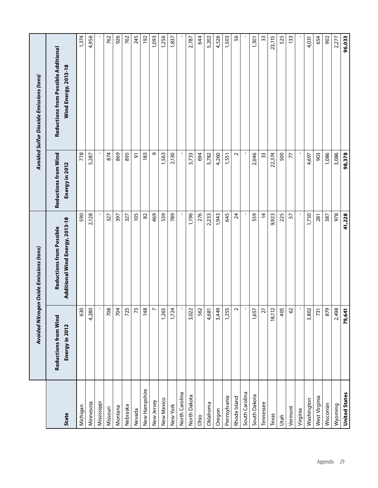|                      |                                        | Avoided Nitrogen Oxide Emissions (tons)                     |                                        | <b>Avoided Sulfur Dioxide Emissions (tons)</b>              |
|----------------------|----------------------------------------|-------------------------------------------------------------|----------------------------------------|-------------------------------------------------------------|
| State                | Reductions from Wind<br>Energy in 2012 | Additional Wind Energy, 2013-18<br>Reductions from Possible | Reductions from Wind<br>Energy in 2012 | Reductions from Possible Additional<br>Wind Energy, 2013-18 |
| Michigan             | 630                                    | 590                                                         | 778                                    | 1,374                                                       |
| Minnesota            | 4,280                                  | 2,128                                                       | 5,287                                  | 4,956                                                       |
| Mississippi          | $\mathbf{I}$                           |                                                             |                                        |                                                             |
| Missouri             | 708                                    | 327                                                         | 874                                    | 762                                                         |
| Montana              | 704                                    | 397                                                         | 869                                    | 926                                                         |
| Nebraska             | 725                                    | 327                                                         | 895                                    | 762                                                         |
| Nevada               | $\overline{73}$                        | 105                                                         | 5                                      | 245                                                         |
| New Hampshire        | 148                                    | 82                                                          | 183                                    | 192                                                         |
| New Jersey           | $\triangleright$                       | 469                                                         | Ō                                      | 1,093                                                       |
| New Mexico           | 1,265                                  | 539                                                         | 1,563                                  | 1,256                                                       |
| New York             | 1,724                                  | 789                                                         | 2,130                                  | 1,837                                                       |
| North Carolina       | $\mathbf{I}$                           |                                                             |                                        |                                                             |
| North Dakota         | 3,022                                  | 1,196                                                       | 3,733                                  | 2,787                                                       |
| Ohio                 | 562                                    | 276                                                         | 694                                    | 644                                                         |
| Oklahoma             | 4,681                                  | 2,233                                                       | 5,782                                  | 5,202                                                       |
| Oregon               | 3,449                                  | 1,943                                                       | 4,260                                  | 4,526                                                       |
| Pennsylvania         | 1,255                                  | 645                                                         | 1,551                                  | 1,503                                                       |
| Rhode Island         | $\sim$                                 | 24                                                          | $\sim$                                 | 56                                                          |
| South Carolina       | $\mathbf{r}$                           |                                                             |                                        |                                                             |
| South Dakota         | 1,657                                  | 559                                                         | 2,046                                  | 1,301                                                       |
| Tennessee            | $\overline{27}$                        | $\overline{4}$                                              | 33                                     | 33                                                          |
| Texas                | 18,112                                 | 9,923                                                       | 22,374                                 | 23,115                                                      |
| Utah                 | 405                                    | 225                                                         | 500                                    | 525                                                         |
| Vermont              | $\mbox{S}$                             | 57                                                          | 77                                     | 133                                                         |
| Virginia             | $\mathbf{I}$                           |                                                             |                                        |                                                             |
| Washington           | 3,802                                  | 1,730                                                       | 4,697                                  | 4,031                                                       |
| West Virginia        | 731                                    | 281                                                         | 903                                    | 654                                                         |
| Wisconsin            | 879                                    | 387                                                         | 1,086                                  | 902                                                         |
| Wyoming              | 2,498                                  | 978                                                         | 3,086                                  | 2,277                                                       |
| <b>United States</b> | 79,641                                 | 41,228                                                      | 98,378                                 | 96,033                                                      |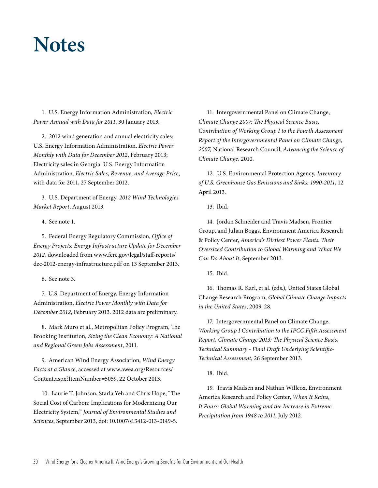## **Notes**

1. U.S. Energy Information Administration, Electric Power Annual with Data for 2011, 30 January 2013.

2. 2012 wind generation and annual electricity sales: U.S. Energy Information Administration, Electric Power Monthly with Data for December 2012, February 2013; Electricity sales in Georgia: U.S. Energy Information Administration, Electric Sales, Revenue, and Average Price, with data for 2011, 27 September 2012.

3. U.S. Department of Energy, 2012 Wind Technologies Market Report, August 2013.

4. See note 1.

5. Federal Energy Regulatory Commission, Office of Energy Projects: Energy Infrastructure Update for December 2012, downloaded from www.ferc.gov/legal/staff-reports/ dec-2012-energy-infrastructure.pdf on 13 September 2013.

6. See note 3.

7. U.S. Department of Energy, Energy Information Administration, Electric Power Monthly with Data for December 2012, February 2013. 2012 data are preliminary.

8. Mark Muro et al., Metropolitan Policy Program, The Brooking Institution, Sizing the Clean Economy: A National and Regional Green Jobs Assessment, 2011.

9. American Wind Energy Association, Wind Energy Facts at a Glance, accessed at www.awea.org/Resources/ Content.aspx?ItemNumber=5059, 22 October 2013.

10. Laurie T. Johnson, Starla Yeh and Chris Hope, "The Social Cost of Carbon: Implications for Modernizing Our Electricity System," Journal of Environmental Studies and Sciences, September 2013, doi: 10.1007/s13412-013-0149-5.

11. Intergovernmental Panel on Climate Change, Climate Change 2007: The Physical Science Basis, Contribution of Working Group I to the Fourth Assessment Report of the Intergovernmental Panel on Climate Change, 2007; National Research Council, Advancing the Science of Climate Change, 2010.

12. U.S. Environmental Protection Agency, Inventory of U.S. Greenhouse Gas Emissions and Sinks: 1990-2011, 12 April 2013.

13. Ibid.

14. Jordan Schneider and Travis Madsen, Frontier Group, and Julian Boggs, Environment America Research & Policy Center, America's Dirtiest Power Plants: Their Oversized Contribution to Global Warming and What We Can Do About It, September 2013.

15. Ibid.

16. Thomas R. Karl, et al. (eds.), United States Global Change Research Program, Global Climate Change Impacts in the United States, 2009, 28.

17. Intergovernmental Panel on Climate Change, Working Group I Contribution to the IPCC Fifth Assessment Report, Climate Change 2013: The Physical Science Basis, Technical Summary - Final Draft Underlying Scientific-Technical Assessment, 26 September 2013.

18. Ibid.

19. Travis Madsen and Nathan Willcox, Environment America Research and Policy Center, When It Rains, It Pours: Global Warming and the Increase in Extreme Precipitation from 1948 to 2011, July 2012.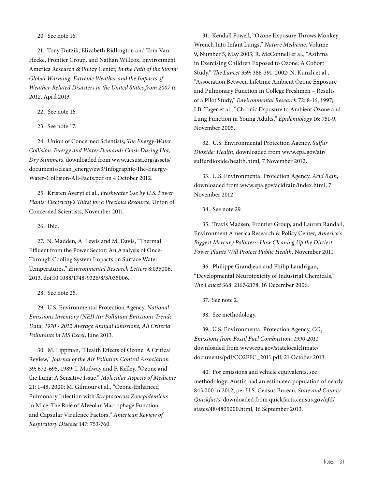20. See note 16.

21. Tony Dutzik, Elizabeth Ridlington and Tom Van Heeke, Frontier Group, and Nathan Willcox, Environment America Research & Policy Center, In the Path of the Storm: Global Warming, Extreme Weather and the Impacts of Weather-Related Disasters in the United States from 2007 to 2012, April 2013.

22. See note 16.

23. See note 17.

24. Union of Concerned Scientists, The Energy-Water Collision: Energy and Water Demands Clash During Hot, Dry Summers, downloaded from www.ucsusa.org/assets/ documents/clean\_energy/ew3/Infographic-The-Energy-Water-Collision-All-Facts.pdf on 4 October 2012.

25. Kristen Averyt et al., Freshwater Use by U.S. Power Plants: Electricity's Thirst for a Precious Resource, Union of Concerned Scientists, November 2011.

26. Ibid.

27. N. Madden, A. Lewis and M. Davis, "Thermal Effluent from the Power Sector: An Analysis of Once-Through Cooling System Impacts on Surface Water Temperatures," Environmental Research Letters 8:035006, 2013, doi:10.1088/1748-9326/8/3/035006.

28. See note 25.

29. U.S. Environmental Protection Agency, National Emissions Inventory (NEI) Air Pollutant Emissions Trends Data, 1970 - 2012 Average Annual Emissions, All Criteria Pollutants in MS Excel, June 2013.

30. M. Lippman, "Health Effects of Ozone: A Critical Review," Journal of the Air Pollution Control Association 39: 672-695, 1989; I. Mudway and F. Kelley, "Ozone and the Lung: A Sensitive Issue," Molecular Aspects of Medicine 21: 1-48, 2000; M. Gilmour et al., "Ozone-Enhanced Pulmonary Infection with Streptococcus Zooepidemicus in Mice: The Role of Alveolar Macrophage Function and Capsular Virulence Factors," American Review of Respiratory Disease 147: 753-760.

31. Kendall Powell, "Ozone Exposure Throws Monkey Wrench Into Infant Lungs," Nature Medicine, Volume 9, Number 5, May 2003; R. McConnell et al., "Asthma in Exercising Children Exposed to Ozone: A Cohort Study," The Lancet 359: 386-391, 2002; N. Kunzli et al., "Association Between Lifetime Ambient Ozone Exposure and Pulmonary Function in College Freshmen – Results of a Pilot Study," Environmental Research 72: 8-16, 1997; I.B. Tager et al., "Chronic Exposure to Ambient Ozone and Lung Function in Young Adults," Epidemiology 16: 751-9, November 2005.

32. U.S. Environmental Protection Agency, Sulfur Dioxide: Health, downloaded from www.epa.gov/air/ sulfurdioxide/health.html, 7 November 2012.

33. U.S. Environmental Protection Agency, Acid Rain, downloaded from www.epa.gov/acidrain/index.html, 7 November 2012.

34. See note 29.

35. Travis Madsen, Frontier Group, and Lauren Randall, Environment America Research & Policy Center, America's Biggest Mercury Polluters: How Cleaning Up the Dirtiest Power Plants Will Protect Public Health, November 2011.

36. Philippe Grandjean and Philip Landrigan, "Developmental Neurotoxicity of Industrial Chemicals," The Lancet 368: 2167-2178, 16 December 2006.

37. See note 2.

38. See methodology.

39. U.S. Environmental Protection Agency, CO<sub>2</sub> Emissions from Fossil Fuel Combustion, 1990-2011, downloaded from www.epa.gov/statelocalclimate/ documents/pdf/CO2FFC\_2011.pdf, 21 October 2013.

40. For emissions and vehicle equivalents, see methodology. Austin had an estimated population of nearly 843,000 in 2012, per U.S. Census Bureau, State and County Quickfacts, downloaded from quickfacts.census.gov/qfd/ states/48/4805000.html, 16 September 2013.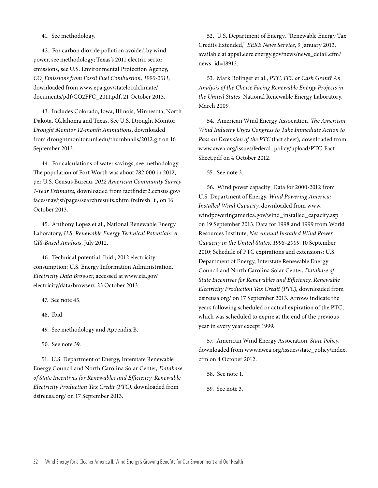41. See methodology.

42. For carbon dioxide pollution avoided by wind power, see methodology; Texas's 2011 electric sector emissions, see U.S. Environmental Protection Agency, CO<sub>2</sub>Emissions from Fossil Fuel Combustion, 1990-2011, downloaded from www.epa.gov/statelocalclimate/ documents/pdf/CO2FFC\_2011.pdf, 21 October 2013.

43. Includes Colorado, Iowa, Illinois, Minnesota, North Dakota, Oklahoma and Texas. See U.S. Drought Monitor, Drought Monitor 12-month Animations, downloaded from droughtmonitor.unl.edu/thumbnails/2012.gif on 16 September 2013.

44. For calculations of water savings, see methodology. The population of Fort Worth was about 782,000 in 2012, per U.S. Census Bureau, 2012 American Community Survey 1-Year Estimates, downloaded from factfinder2.census.gov/ faces/nav/jsf/pages/searchresults.xhtml?refresh=t , on 16 October 2013.

45. Anthony Lopez et al., National Renewable Energy Laboratory, U.S. Renewable Energy Technical Potentials: A GIS-Based Analysis, July 2012.

46. Technical potential: Ibid.; 2012 electricity consumption: U.S. Energy Information Administration, Electricity Data Browser, accessed at www.eia.gov/ electricity/data/browser/, 23 October 2013.

- 47. See note 45.
- 48. Ibid.

49. See methodology and Appendix B.

50. See note 39.

51. U.S. Department of Energy, Interstate Renewable Energy Council and North Carolina Solar Center, Database of State Incentives for Renewables and Efficiency, Renewable Electricity Production Tax Credit (PTC), downloaded from dsireusa.org/ on 17 September 2013.

52. U.S. Department of Energy, "Renewable Energy Tax Credits Extended," EERE News Service, 9 January 2013, available at apps1.eere.energy.gov/news/news\_detail.cfm/ news\_id=18913.

53. Mark Bolinger et al., PTC, ITC or Cash Grant? An Analysis of the Choice Facing Renewable Energy Projects in the United States, National Renewable Energy Laboratory, March 2009.

54. American Wind Energy Association, The American Wind Industry Urges Congress to Take Immediate Action to Pass an Extension of the PTC (fact sheet), downloaded from www.awea.org/issues/federal\_policy/upload/PTC-Fact-Sheet.pdf on 4 October 2012.

55. See note 3.

56. Wind power capacity: Data for 2000-2012 from U.S. Department of Energy, Wind Powering America: Installed Wind Capacity, downloaded from www. windpoweringamerica.gov/wind\_installed\_capacity.asp on 19 September 2013. Data for 1998 and 1999 from World Resources Institute, Net Annual Installed Wind Power Capacity in the United States, 1998–2009, 10 September 2010; Schedule of PTC expirations and extensions: U.S. Department of Energy, Interstate Renewable Energy Council and North Carolina Solar Center, Database of State Incentives for Renewables and Efficiency, Renewable Electricity Production Tax Credit (PTC), downloaded from dsireusa.org/ on 17 September 2013. Arrows indicate the years following scheduled or actual expiration of the PTC, which was scheduled to expire at the end of the previous year in every year except 1999.

57. American Wind Energy Association, State Policy, downloaded from www.awea.org/issues/state\_policy/index. cfm on 4 October 2012.

- 58. See note 1.
- 59. See note 3.